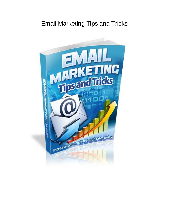# Email Marketing Tips and Tricks

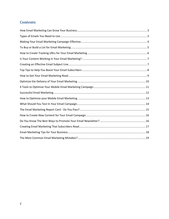## **Contents**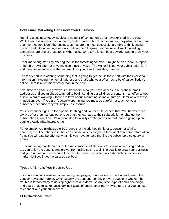## <span id="page-2-0"></span>**How Email Marketing Can Grow Your Business**

Running a business today involves a number of components that never existed in the past. While business owners have a much greater reach to find their consumer, they also face a great deal more competition. The businesses that are the most successful are able to think outside the box and take advantage of tools that can help to grow their business. Email marketing campaigns are one of those tools. When used correctly this can be a powerful way to grow your business.

Email marketing starts by offering the visitor something for free. It might be an e-book, a report, a monthly newsletter, or anything else that's of value. The visitor fills out your subscription form and then begins to receive the material from your email marketing campaign.

The tricky part is in offering something that is going to get the visitor to part with their personal information including their email address and that's why your offer has to be of value. Today's online users is much more savvy than in the past.

Over time the goal is to grow your subscribers. Now you have access to all of these email addresses and you might be tempted to begin sending out all kinds of content in an effort to get a sale. Word of warning – there are laws about spamming so make sure you familiar with these. In addition, even if you aren't actually spamming you must be careful not to annoy your subscriber, because they will simply unsubscribe.

Your subscriber signs up for a particular thing and you need to respect that. You however can always offer them various options so that they can add to their subscription or change their subscription at any time. It's a great idea to initially create groups so that those signing up are getting exactly what interests them.

For example, you might create 10 groups that include health, fitness, consumer affairs, finances, etc. Then the subscriber can choose which categories they want to receive information from. You will also be offering what it is you have for sale that fits the subscribers category or group.

Email marketing has been one of the most successful platforms for online advertising and you too can enjoy the benefits and growth from using such a tool. The goal is to grow your business and your income and each one of these subscribers is a potential cash machine. When you market right you'll get the sale, so get busy!

## <span id="page-2-1"></span>**Types of Emails You Need to Use**

If you are running online email marketing campaigns, chances are you are already using the popular newsletter format, which usually are sent out monthly or every couple of weeks. The trouble is far too many of us stop right there and don't use any other type of email campaign, and that's a big mistake! Let's look at 4 types of email, other than newsletters, that you can use to connect with your subscribers.

#1 Informational Emails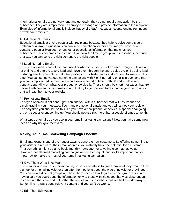Informational emails are not very long and generally, they do not require any action by the subscriber. They are simply there to convey a message and provide information to the recipient. Examples of informational emails include 'happy birthday' messages, course ending reminders, or webinar reminders.

#### #2 Educational Emails

Educational emails are very popular with recipients because they help to solve some type of problem or answer a question. You can send educational emails any time you have new content, a popular blog post, or any other educational information that matches your subscribers. This becomes even easier if you took the time to group your subscribers, because that way you can send the right content to the right people.

#### #3 Lead Nurturing Emails

This type of email is one of the least used or when it is used it is often used wrongly. It takes a lot of time and effort to take a lead and move them through the entire sales cycle. By using lead nurturing emails, you able to help that process occur faster and you don't need to invest a lot of time. You can set up various nurturing campaigns with 7 or 8 nurturing emails in each and then you can simply schedule them to execute over a period of time. Both 60 and 90 days are popular depending on what your product or service is. These should be short messages that are packed with content rich information and that try to get the lead to respond to your call to action that will lead them to your website.

#### #4 Promotional Emails

This type of email, if not done right, can find you with a subscriber that will unsubscribe or simply trashing your message. Too many promotional emails and you will annoy your recipient. The only time you should use this is if you have a new product or service, a special deal going on, or a special event coming up. You should not use this more than a couple of times a month.

What types of emails do you use in your email marketing campaigns? Now you have some new ideas so why not give them a try.

## <span id="page-3-0"></span>**Making Your Email Marketing Campaign Effective**

Email marketing is one of the hottest ways to generate new customers. By offering something to your visitors in return for their email address, you instantly have the potential for a customer. That something might be an e-book, monthly newsletter, or anything else that has value. However, not all email marketing campaigns are created equal, and so it's important that you know how to make the most of your email marketing campaign.

#### #1 Give Them What They Want

The number one rule for email marketing to be successful is to give them what they want. If they sign up for an email newsletter than offer them options about the type of newsletter they'll get. You can create different groups and have them check a box to join a certain group. If you are having sale you could send the information only to those with zip coded that was close enough to come into the store and not bother the rest of your subscribers that live half a world away. Bottom line - always send relevant content and you can't go wrong.

#2 Edit Then Edit Again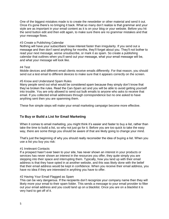One of the biggest mistakes made is to create the newsletter or other material and send it out. Once it's gone there's no bringing it back. What so many don't realize is that grammar and your style are as important in your email content as it is on your blog or your website. Before you hit the send button edit and then edit again, to make sure there are no grammar mistakes and that your message flows.

#### #3 Create a Publishing Calendar

Nothing will have your subscribers' loose interest faster than irregularity. If you send out a message and then don't send anything for months, they'll forget about you. They'll not bother to read your next message, worse unsubscribe, or mark it as spam. So create a publishing calendar that outlines when you'll send out your message, what your email message will be, and what your message will look like.

#### #4 Test

Mobile devices and different email clients receive emails differently. For that reason, you should send out a test email to different devices to make sure that it appears correctly on the screen.

#### #5 Know and Understand Spam Rules

Many people send out what would be considered spam because they simply don't know that they've broken the rules. Read the Can-Spam act and you will be able to avoid getting yourself into trouble. You are only allowed to send out bulk emails to anyone who asks to receive that email. If you collected email addresses through correspondence but no one asked to have anything sent then you are spamming them.

These five simple steps will make your email marketing campaign become more effective.

## <span id="page-4-0"></span>**To Buy or Build a List for Email Marketing**

When it comes to email marketing, you might think it's easier and faster to buy a list, rather than take the time to build a list, so why not just go for it. Before you are too quick to take the easy way, there are some things you should be aware of that are likely going to change your mind.

That's just the beginning of why you should really reconsider the idea of buying a list. When you use a list you buy you risk:

#### #1 Irrelevant Contacts

If a prospect hasn't ever been to your site, has never shown an interest in your products or services has never shown an interest in the resources you offer, they quite simply you are stepping into their space and interrupting them. Typically, how you land up with their email address is that they have opted in at another website, and this was likely done with the belief that their email address would be kept in confidence. When you receive their email address, you have no idea if they are interested in anything you have to offer.

#### #2 Having Your Email Flagged as Spam

This can be very dangerous. If the recipients don't recognize your company name then they will likely more your email to their spam folder. This sends a message to your email provider to filter out your email address and you could land up on a blacklist. Once you are on a blacklist it is very hard to get off of it.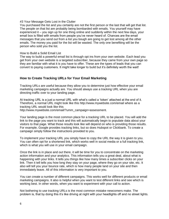#### #3 Your Message Gets Lost in the Clutter

You purchased the list and you certainly are not the first person or the last that will get that list. The people on that list are probably being bombarded with emails. You yourself may have experienced it – you sign up for one thing online and suddenly within the next few days, your email box is filled with emails from people you've never heard of. Chances are the email messages that you send out from a list you bough are going to get lost among all the other emails. The money you paid for the list will be wasted. The only one benefiting will be the person who sold you the list.

#### How to Build a Solid Email List

The way to build a powerful email list is through opt ins from your own website. Each lead you get from your own website is a targeted subscriber, because they came from your own page so they are familiar with what it is you have to offer. These are the types of leads that you can convert to paying customers. It might take longer to build but it's definitely worth the wait!

## <span id="page-5-0"></span>**How to Create Tracking URLs for Your Email Marketing**

Tracking URLs are useful because they allow you to determine just how effective your email marketing campaigns actually are. You should always use a tracking URL when you are directing traffic over to your landing page.

At tracking URL is a just a normal URL with what's called a 'token' attached at the end of it. Therefore, a normal URL might look like this http://www.mywebsite.com/email where as a tracking URL would look like this

http://www.mywebsite.com/email/?umm\_campaign=assessment.

Your landing page is the most common place for a tracking URL to be placed. You will add the link to the page you want to track and this will automatically begin to populate data about your visitors to that page. What those results look like will depend on who is providing those results. For example, Google provides tracking links, but so does Hubspot or Clickbank. To create a campaign simply follow the instructions provided to you.

To implement your tracking URL you simply have to copy the URL the way it is given to you. You can often opt for a shortened link, which works well in social media or a full tracking link, which is what you will use in your email campaign.

Once the link is in place and out there, it will be time for you to concentrate on the marketing action information and your analytics. This information tells you a great deal, about what is happening with your links. It tells you things like how many times a subscriber clicks on your link. Then it tell tells you how long they stay on your page, where they go on your site, etc. It also will tell you your bounce rate, which is how many people land on your site and then immediately leave. All of this information is very important to you.

You can create a number of different campaigns. This works well for different products or email marketing campaigns. It also is helpful when you want to test different links and see which is working best. In other words, when you want to experiment with your call to action.

Not bothering to use tracking URLs is the most common mistake newcomers make. The problem is, that by doing this it's like driving at night with your headlights off and no street lights.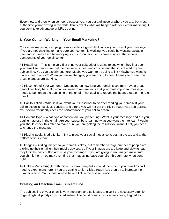Every now and then when someone passes you, you get a glimpse of where you are, but most of the time you're driving in the dark. That's exactly what will happen with your email marketing if you don't take advantage of URL tracking.

## <span id="page-6-0"></span>**Is Your Content Working in Your Email Marketing?**

Your email marketing campaign's success lies a great deal, in how you present your message. If you are not checking to make sure your content is working, you could be wasting valuable time and you may even be annoying your subscribers. Let us have a look at the various components of your email content.

#1 Headlines – This is the very first thing your subscriber is going to see when they first open your email so make sure that the message is clear and concise and that it is related to your subject line. You can experiment here. Maybe you want to try using a link? Maybe you want to place a call to action? When you make changes, you are going to need to analyze to see how those changes are working.

#2 Placement of Your Content – Depending on how long your email is you may have a great deal of flexibility here. But what you need to remember is that your most important message needs to be right at the beginning of the email. That goal is to reduce the bounce rate or the rate of exit.

#3 Call to Action – What is it you want your subscriber to do after reading your email? If your call to action is not clear, concise, and strong you will not get the click through rate you desire. You should frequently check the performance of your call to action.

#4 Content Type – What type of content are you presenting? What is your message and are you getting it across in the email. Are your subscribers learning what you want them to learn? Again, you should check this often to make sure you are getting the results you want. If not, you need to change the message.

#5 Placing Social Media Links – Try to place your social media icons both at the top and at the bottom of your email.

#6 Images – Adding images to your email is okay, but remember a large number of people are picking up their email on their mobile devices, so if your images are too large and slow to load they'll hit the back button and miss your message. If you are going to use images make sure you shrink them. You may even find that images increase your click through rate when done right.

#7 Links – Many struggle with this – just how many links should there be in your email? You'll need to experiment here. If you are getting a high click through rate then try to increase the number of links. You should always have a link in the first sentence.

## <span id="page-6-1"></span>**Creating an Effective Email Subject Line**

The subject line of your email is very important and so it pays to give it the necessary attention to get it right. A poorly constructed subject line could result in your emails being flagged as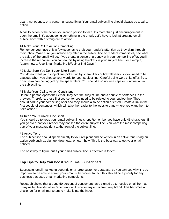spam, not opened, or a person unsubscribing. Your email subject line should always be a call to action.

A call to action is the action you want a person to take. It's more than just encouragement to open the email; it's about doing something in the email. Let's have a look at creating email subject lines with a strong call to action.

#### #1 Make Your Call to Action Compelling

Remember you have only a few seconds to grab your reader's attention as they skim through their Inbox. Make sure you include any offer in the subject line so readers immediately see what the value of the email will be. If you create a sense of urgency with your compelling offer, you'll increase the response. You can do this by using brackets in your subject line. For example, "Learn how to Use Email Marketing [Webinar in 5 Days]."

#### #2 Make Sure You Don't Look Like Spam

You do not want your subject line picked up by spam filters or firewall filters, so you need to be cautious when you choose your words for your subject line. Careful using words like offer, free, or act now can be flagged by the spam filters. You should also not use caps or punctuation in the subject line.

#### #3 Make Your Call to Action Consistent

Before a person opens their email, they see the subject line and a couple of sentences in the preview. Therefore, those first two sentences need to be related to your subject line. They should add to your compelling offer and they should also be action oriented. Create a link in the first couple of sentences, which will take the reader to the website page where you want them to 'take action.'

#### #4 Keep Your Subject Line Short

You should try to keep your email subject lines short. Remember you have only 45 characters. If you go over that your reader may not see the entire subject line. You want the most compelling part of your message right at the front of the subject line.

#### #5 Active Tone

The subject line should speak directly to your recipient and be written in an active tone using an action verb such as sign up, download, or learn how. This is the best way to get your email noticed.

The best way to figure out if your email subject line is effective is to test.

#### <span id="page-7-0"></span>**Top Tips to Help You Boost Your Email Subscribers**

Successful email marketing depends on a large customer database, so you can see why it is so important to be able to attract your email subscribers. In fact, this should be a priority for any business that uses email marketing campaigns.

Research shows that around 50 percent of consumers have signed up to receive email from as many as ten brands, while 8 percent don't receive any email from any brand. This becomes a challenge for email marketers to make it into the inbox.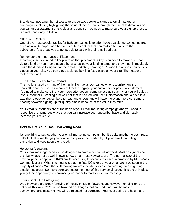Brands can use a number of tactics to encourage people to signup to email marketing campaigns; including highlighting the value of these emails through the use of testimonials or you can use a statement that is clear and concise. You need to make sure your signup process is simple and easy to follow.

#### Offer Free Content

One of the most popular tactics for B2B companies is to offer those that signup something free, such as a white paper, or other forms of free content that can really offer value to the subscriber. It's a great way to get people to part with their email address.

#### Remember the Importance of Placement

If nothing else, you need to keep in mind that placement is key. You need to make sure that visitors land on your home page otherwise called your landing page, and they must immediately make the decision to signup for the email marketing campaign. Provide the option in numerous places on your site. You can place a signup box in a fixed place on your site. The header or footer work well.

#### Turn the Newsletter Into a Product

This tactic is used by many of the multimillion dollar companies who recognize how the newsletter can be used as a powerful tool to engage your customers or potential customers. You need to make sure that your newsletter doesn't come across as spammy or you will quickly lose subscribers. Creating a newsletter that is packed with useful information and laid out in a way that is easy for subscribers to read and understand will have more and more consumers heading towards signing up for quality emails because of the value they offer.

Your email subscribers are at the heart of your email marketing campaign and you need to recognize the numerous ways that you can increase your subscriber base and ultimately increase your revenue.

## <span id="page-8-0"></span>**How to Get Your Email Marketing Read**

It's one thing to put together your email marketing campaign, but it's quite another to get it read. Let's look at some things you can do to improve the readability of your email marketing campaign and keep people engaged.

#### Horizontal Viewports

Your email message needs to be designed to have a horizontal viewport. Most designers know this, but what's not as well known is how small most viewports are. The normal size of the preview pane is approx. 638x86 pixels, according to recently released information by MicroMass Communications. What this means is that the first 100 pixels of your email won't be seen in the majority of cases. With the shift moving towards mobile devices, that viewing area is getting smaller not larger. So make sure you make the most of this very small space. It is the only place you get the opportunity to convince your reader to read your entire message.

#### Email Clients Are Unforgiving

Web browsers are pretty forgiving of messy HTML or flawed code. However, email clients are not at all this way. CSS will be frowned on. Images that are undefined will be tossed somewhere, and messy HTML will be rejected not corrected. You must define the height and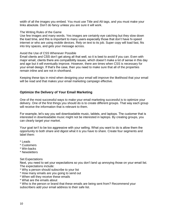width of all the images you embed. You must use Title and Alt tags, and you must make your links absolute. Don't do fancy unless you are sure it will work.

#### The Writing Rules of the Game

Use few images and many words. Yes images are certainly eye catching but they slow down the load time, and this is important to many users especially those that don't have hi-speed internet or who are using mobile devices. Rely on text to its job. Super copy will load fast, fits into tiny spaces, and gets your message across.

#### Avoid the Use of CSS Whenever Possible

Email clients and CSS don't get along all that well, so it is best to avoid if you can. Even with major email, clients there are compatibility issues, which doesn't make a lot of sense in this day and age but it will eventually improve. However, there are times when CSS is necessary for your email design. If that's the case, then you need to make sure that all of the properties remain inline and are not in shorthand.

Keeping these tips in mind when designing your email will improve the likelihood that your email will be read and that makes your email marketing campaign effective.

### <span id="page-9-0"></span>**Optimize the Delivery of Your Email Marketing**

One of the most successful ways to make your email marketing successful is to optimize your delivery. One of the first things you should do is to create different groups. That way each group will receive the information that is relevant to them.

For example, let's say you sell downloadable music, tablets, and laptops. The customer that is interested in downloadable music might not be interested in laptops. By creating groups, you can clearly target your market.

Your goal isn't to be too aggressive with your selling. What you want to do is allow them the opportunity to both share and digest what it is you have to share. Create four segments and label them:

- \* Leads
- \* Customers
- \* Win-backs
- \* Newsletters

#### Set Expectations

Next, you need to set your expectations so you don't land up annoying those on your email list. The expectations include:

- \* Why a person should subscribe to your list
- \* How many emails are you going to send out
- \* When will they receive these emails
- \* What are the emails about

\* Who is the person or brand that these emails are being sent from? Recommend your subscribers add your email address to their safe list.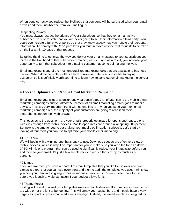When done correctly you reduce the likelihood that someone will be surprised when your email arrives and then unsubscribe from your mailing list.

#### Respecting Privacy

You must always respect the privacy of your subscribers so that they remain an active subscriber. Be sure to state that you are never going to sell their information a third party. You could even create a full privacy policy so that they knew exactly how you handle their personal information. To comply with Can-Spam laws you must remove anyone that requests to be taken off the list within 10 days of that request.

By taking the time to optimize the way you deliver your email message to your subscribers you increase the likelihood of that subscriber remaining as such, and as a result, you increase your opportunity to turn that subscriber into a paying customer, at some point along the way.

Email marketing is one of the most underutilized marketing tools that are available to business owners. When done correctly it offers a high conversion rate from subscriber to paying customer, so it is definitely worth your time to learn how to carry out email marketing the correct way.

## <span id="page-10-0"></span>**4 Tools to Optimize Your Mobile Email Marketing Campaign**

Email marketing gets a lot of attention but what doesn't get a lot of attention is the mobile email marketing campaigns and yet almost 50 percent of all email marketing emails goes to mobile devices. This is a very important trend with no end in site – when you send your next email marketing campaign out, the majority of your customers are going to read it on their smartphones not on their web browser.

This leads us to the question ' are your emails properly optimized for opens and reads, along with click through from mobile devices. Mobile open rates are around a whopping 300 percent. So, now is the time for you to start taking your mobile optimization seriously. Let's start by looking at four tools you can use to optimize your mobile email marketing.

#### #1 JPEG Mini

We will begin with a winning app that's easy to use. Download speeds are often very slow on mobile devices, which is why it so important for you to make sure you keep the file size down. JPEG Mini is one program that can be used to significantly reduce your image size before you add them to your email. It's just a few simple clicks to reduce the size by as much as 80 percent.

#### #2 Litmus

If you are like most you have a handful of email templates that you like to use over and over. Litmus is a tool that you can use every now and then to audit the templates you use. It will show you how your template is going to look in various email clients. It's an excellent tool to use before you launch any big campaign if your budget allows for it.

#### #3 Theme Forest

Testing will reveal how well your templates work on mobile devices. It's common for them to be too wide or for the font to be too tiny. This will annoy your subscribers and it could have a very negative impact on your email marketing campaign. Instead, use email templates designed for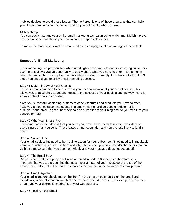mobiles devices to avoid these issues. Theme Forest is one of those programs that can help you. These templates can be customized so you get exactly what you want.

#### #4 Mailchimp

You can easily manage your entire email marketing campaign using Mailchimp. Mailchimp even provides a video that shows you how to create responsible emails.

To make the most of your mobile email marketing campaigns take advantage of these tools.

#### <span id="page-11-0"></span>**Successful Email Marketing**

Email marketing is a powerful tool when used right converting subscribers to paying customers over time. It allows you an opportunity to easily share what you have to offer in a manner in which the subscriber is receptive, but only when it is done correctly. Let's have a look at the 9 steps you should use to enjoy email marketing success.

#### Step #1 Determine What Your Goal Is

For your email campaign to be a success you need to know what your actual goal is. This allows you to accurately target and measure the success of your goals along the way. Here is an example of goals to consider:

\* Are you successful at alerting customers of new features and products you have to offer.

\* DO you announce upcoming events in a timely manner and do people register for it

\* DO you send email to get subscribers to also subscribe to your blog and do you measure your conversion rate.

#### Step #2 Who Your Emails From

The name and email address that you send your email from needs to remain consistent on every single email you send. That creates brand recognition and you are less likely to land in spam.

#### Step #3 Subject Line

Your email subject line need to be a call to action for your subscriber. They need to immediately know what action is required of them and why. Remember you only have 45 characters that are visible so make sure that you use them wisely and your message does not get cut off.

#### Step #4 The Email Body

Did you know that most people will read an email in under 10 seconds? Therefore, it is important that you are presenting the most important part of your message at the top of the email. This is also helpful because it shows as the snippet in the subscribers email program.

#### Step #5 Email Signature

Your email signature should match the 'from' in the email. You should sign the email and include any other information you think the recipient should have such as your phone number, or perhaps your degree is important, or your web address.

Step #6 Testing Your Email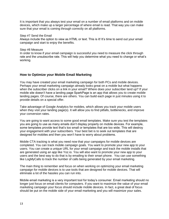It is important that you always test your email on a number of email platforms and on mobile devices, which make up a larger percentage of where email is read. That way you can make sure that your email is coming through correctly on all platforms.

#### Step #7 Send the Email

Always include the option to view as HTML or text. This is it! It's time to send out your email campaign and start to enjoy the benefits.

#### Step #8 Measure

In order to know if your email campaign is successful you need to measure the click through rate and the unsubscribe rate. This will help you determine what you need to change or what's working.

## <span id="page-12-0"></span>**How to Optimize your Mobile Email Marketing**

You may have created your email marketing campaign for both PCs and mobile devices. Perhaps your email marketing campaign already looks great on a mobile but what happens when the subscriber clicks on a link in your email? Where does your subscriber land up? If your mobile site doesn't have a landing page SparkPage is an app that allows you to create mobile landing pages. Of course, there are others. You can build each page in just minutes using it to provide details on a special offer.

Take advantage of Google Analytics for mobiles, which allows you track your mobile users when they visit your landing page(s). It will allow you to find pitfalls, bottlenecks, and improve your conversion rates.

You are going to want access to some good email templates. Make sure you test the templates you are going to use as many emails don't display properly on mobile devices. For example, some templates provide text that's too small or templates that are too wide. This will destroy your engagement with your subscribers. Your best bet is to seek out templates that are designed for mobiles and then you won't have to worry about problems.

Mobile CTA tracking is what you need now that your campaigns for mobile devices are completed. You can track mobile campaign goals. You want to promote your new app to your users. You can create a unique URL for your email campaign and track the mobile installs that are generated using an app like Yoz.io. You will also want to promote your new app to your users and the best way to do that is by emailing to their smart phone. You can use something like LogMyCalls to track the number of calls being generated by your email marketing.

The main thing to remember and focus on when working on optimizing your email marketing campaign for mobile devices is to use tools that are designed for mobile devices. That will eliminate a lot of the hassles you can run into.

Mobile email marketing is a very important tool for today's consumer. Email marketing should no longer just focus on email clients for computers. If you want to maximize the value of your email marketing campaign your focus should include mobile devices. In fact, a great deal of focus should be put on the mobile side of your email marketing and you will maximize your sales.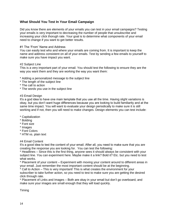## <span id="page-13-0"></span>**What Should You Test In Your Email Campaign**

Did you know there are elements of your emails you can test in your email campaigns? Testing your emails is very important to decreasing the number of people that unsubscribe and increasing your click thorugh rate. Your goal is to determine what components of your email need to change if you want to get better results.

#### #1 The 'From' Name and Address

You can easily test who and where your emails are coming from. It is important to keep the name and address consistent on all of your emails. Test by sending a few emails to yourself to make sure you have impact you want.

#### #2 Subject Line

This is a very important part of your email. You should test the following to ensure they are the way you want them and they are working the way you want them:

- \* Adding a personalized message to the subject line
- \* The length of the subject line
- \* The call to action
- \* The words you use in the subject line

#### #3 Email Design

It's a god idea to have one main template that you use all the time. Having slight variations is okay, but you don't want huge differences because you are looking to build familiarity and at the same time impact. You will want to evaluate your design periodically to make sure it is still working and if not, then you will need to make changes. Design elements you can test include:

- \* Capitalization
- \* Bolding
- \* Font size
- \* Images
- \* Font Colors
- \* HTM vs. plain text

#4 Email Content

It's a good idea to test the content of your email. After all, you need to make sure that you are creating the response you are looking for. You can test the following:

\* Headlines – Since this is the first thing, anyone sees it should always be consistent with your subject line. You can experiment here. Maybe make it a link? Bold it? Etc. but you need to test what works.

\* Placement of your content – Experiment with moving your content around to different areas in your email. Just remember the most important content should be at the beginning.

Call to Action – This is very important! This is what creates the environment for your subscriber to take further action, so you need to test to make sure you are getting the desired click through rate.

\* Placement of Links and Images – Both are okay in your email but don't go overboard, and make sure your images are small enough that they will load quickly.

Timing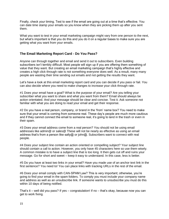Finally, check your timing. Test to see if the email are going out at a time that's effective. You can date time stamp your emails so you know when they are picking them up after you sent them.

What you want to test in your email marketing campaign might vary from one person to the next, but what's important is that you do this and you do it on a regular bases to make sure you are getting what you want from your emails.

## <span id="page-14-0"></span>**The Email Marketing Report Card - Do You Pass?**

Anyone can through together and email and send it out to subscribers. Even building subscribers isn't terribly difficult. Most people will sign up if you are offering them something of value that they want. But creating an email marketing campaign that's highly effective and creates a high click through rate is not something everyone does well. As a result, many many people are wasting their time sending out emails and not getting the results they want.

Let's have a look at this email marketing report card and you can decide if you pass or fail. You can also decide where you need to make changes to increase your click through rate.

#1 Does your email have a goal? What is the purpose of your email? Are you telling your subscriber what you want to share and what you want from them? Email should always be action orientated. And your message should be clear and concise. Test it. Ask someone not familiar with what you are doing to read your email and get their response.

#2 Do you have a real person, company, or brand in the 'from' name box? You need to make sure that your email is coming from someone real. These day's people are much more cautious and if they cannot connect the email to someone real, it's going to land in the trash or even in their spam.

#3 Does your email address come from a real person? You should not be using email addresses like admin@ or sales@ These will not be nearly as effective as using an email address that's from a person like sally@ or john@. Subscribers want to connect with real people.

#4 Does your subject line contain an action oriented or compelling subject? Your subject line should contain a call to action. However, you only have 45 characters here so use them wisely. A common mistake is to have a subject line that is too long. It then gets cut off and ruins your message. Go for short and sweet – keep it easy to understand. In this case, less is better.

#5 Do you have at least two links in your email? Have you made use of an anchor text link in the first sentence? You need to! You can place links with tracking URLs in the rest of the email.

#6 Does your email comply with CAN-SPAM Law? This is very important; otherwise, you're going to find your email in the spam folders. To comply you must include your company name and address as well as an unsubscribe link. If someone wants to unsubscribe you must do this within 10 days of being notified.

That's it – well did you pass? If yes – congratulation! If no – that's okay, because now you can get to work fixing.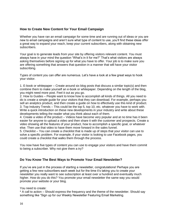## <span id="page-15-0"></span>**How to Create New Content for Your Email Campaign**

Whether you have ran an email campaign for some time and are running out of ideas or you are new to email campaigns and aren't sure what type of content to use, you'll find these ideas offer a great way to expand your reach, keep your current subscribers, along with obtaining new subscribers.

Your goal is to generate leads from your site by offering visitors relevant content. You must always have in your mind the question "What's in it for me?" That's what visitors are always asking themselves before signing up for what you have to offer. Your job is to make sure you are offering something that answers that question in a manner that will have your visitor subscribing.

Types of content you can offer are numerous. Let's have a look at a few great ways to hook your visitor.

1. E-book or whitepaper – Create around six blog posts that discuss a similar topic(s) and then combine them to make yourself an e-book or whitepaper. Depending on the length of the blog, you might need more post. Feel it out as you go.

2. How to Guides – People want to know how to accomplish all kinds of things. All you need to do is create a simple guide for your visitors that they can download. For example, perhaps you sell an analytics product, and then create a guide on how to effectively use this kind of product. 3. Top Industry Trends – This could be the top 5, top 10, etc. whatever you have to work with. Write a quick introduction on these new developments in your industry and write about these developments telling the reader what you think about each of them.

4. Create a video of the product – Videos have become very popular and at no time has it been easier for anyone to upload a video and then share it with the customer and prospects. Create a video showing all the features of your product, how to accomplish a specific goal, or whatever else. Then use that video to have them move forward in the sales funnel.

5. Checklist – You can create a checklist that is made up of steps that your visitor can use to solve a specific problem. For example, if your visitor is looking to use Facebook pages, you could create a checklist that walks them through the process.

You now have five types of content you can use to engage your visitors and have them commit to being a subscriber. Why not give them a try?

## <span id="page-15-1"></span>**Do You Know The Best Ways to Promote Your Email Newsletter?**

If you've are just in the process of starting a newsletter, congratulations! Perhaps you are getting a few new subscribers each week but for the time it's taking you to create your newsletter you really want to see subscription at least over a hundred and eventually much higher. How do you do this? You promote your email newsletter the same way you would promote your website or your blog.

You need to create:

\* A call to action – Should express the frequency and the theme of the newsletter. Should say something like "Sign up for our Weekly Newsletter Featuring Email Marketing.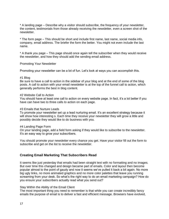\* A landing page – Describe why a visitor should subscribe, the frequency of your newsletter, the content, testimonials from those already receiving the newsletter, even a screen shot of the newsletter.

\* The form page – This should be short and include first name, last name, social media info, company, email address. The briefer the form the better. You might not even include the last name.

\* A thank you page – This page should once again tell the subscriber when they would receive the newsletter, and how they should add the sending email address.

#### Promoting Your Newsletter

Promoting your newsletter can be a lot of fun. Let's look at ways you can accomplish this.

#### #1 Blog

Be sure to have a call to action in the sidebar of your blog and at the end of some of the blog posts. A call to action with your email newsletter is at the top of the funnel call to action, which generally performs the best in blog content.

#### #2 Website Call to Action

You should have at least one call to action on every website page. In fact, it's a lot better if you have can have two to three calls to action on each page.

#### #3 Emails that Nurture Leads

To promote your newsletter set up a lead nurturing email. It's an excellent strategy because it will show how interesting s. Each time they receive your newsletter they will grow a little and possibly decide they would like to do business with you.

#### #4 Landing Page Form

On your landing page, add a field form asking if they would like to subscribe to the newsletter. It's an easy way to grow your subscribers.

You should promote your newsletter every chance you get. Have your visitor fill out the form to subscribe and get on the list to receive the newsletter.

#### <span id="page-16-0"></span>**Creating Email Marketing That Subscribers Read**

It seems like just yesterday that emails had been straight text with no formatting and no images. But over time this changed and design became part of emails. Color and layout then become popular almost to the point of gaudy and now it seems we've pulled it back a bit again. No more big ugly links, no more animated graphics and no more color palettes that leave you running screaming from your desk. So what's the right way to do an email marketing campaign? How do you ensure your subscribers actually read what you send out?

#### Stay Within the Ability of the Email Client

The most important thing you need to remember is that while you can create incredibly fancy emails the purpose of email is to deliver a fast and efficient message. Browsers have evolved,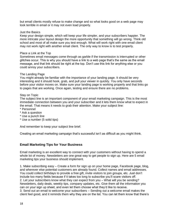but email clients mostly refuse to make change and so what looks good on a web page may look terrible in email or it may not even load properly.

#### Just the Basics

Keep your design simple, which will keep your life simpler, and your subscribers happier. The more intricate your layout design the more opportunity that something will go wrong. Think old school and most of all make sure you test enough. What will work right with one email client may not work right with another email client. The only way to know is to test properly.

#### Place a Link at the Top

Sometimes email messages come through as garble if the transmission is interrupted or other glitches occur. This is why you should have a link to a web page that's the same as the email message, and that link should be right at the top. Don't use this link for anything else or you could annoy your subscribers.

#### The Landing Page

You might already be familiar with the importance of your landing page. It should be very interesting and it should hook, grab, and pull your viewer in quickly. You only have seconds before your visitor moves on. Make sure your landing page is working properly and that links go to pages that are working. Once again, testing and ensure there are no problems.

#### Stay on Topic

The subject line is an important component of your email marketing campaign. This is the most immediate connection between you and your subscriber and it lets them know what to expect in the email. That means it needs to grab their attention. Make your subject line:

- \* Personnel
- \* Ask a question
- \* Use a punch line
- \* Use a number (5 solid tips)

And remember to keep your subject line brief.

Creating an email marketing campaign that's successful isn't as difficult as you might think.

## <span id="page-17-0"></span>**Email Marketing Tips for Your Business**

Email marketing is an excellent way to connect with your customers without having to spend a whole lot of money. Newsletters are one great way to get people to sign up. Here are 5 email marketing tips your business should implement.

1. Make subscribing easy – Create a form for sign up on your home page, Facebook page, blog, and wherever else potential customers are already found. Collect names and email addresses. You could collect birthdays to provide a free gift, invite visitors to join groups, etc. Just don't include too many fields because if it takes too long to subscribe you'll scare visitors off. 2. Let your subscribers know what they can expect from you – What will you be sending? Newsletters, daily deals, weekly tips, company updates, etc. Give them all the information you can on your sign up sheet, and even let them choose what they'd like to receive. 3. Send out an email to welcome your subscribers – Sending out a welcome email makes the client feel good, and it reminds them why they are on the list. You can let them know that there's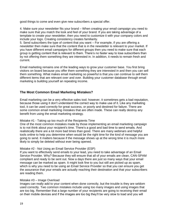good things to come and even give new subscribers a special offer.

4. Make sure your newsletter fits your brand – When creating your email campaign you need to make sure that you match the look and feel of your brand. If you are taking advantage of a template to create your newsletter, then you need to customize it with your company colors and include your logo. Creating consistency creates familiarity.

5. Send subscribers the type of content that you want – For example, if you are offering a newsletter then make sure that the content that is in the newsletter is relevant to your market. If you have different email campaigns for different groups then you need to make sure that each group is getting content that is relevant to them. There's no faster way to lose subscribers than by not offering them something they are interested in. In addition, it needs to remain fresh and current.

Email marketing remains one of the leading ways to grow your customer base. You first bring visitors on board because you offer them something they are interested in and then you can sell them something. What makes email marketing so powerful is that you can continue to sell them different items that are relevant over and over. Building your customer database through email marketing is building yourself an repeating income.

## <span id="page-18-0"></span>**The Most Common Email Marketing Mistakes?**

Email marketing can be a very effective sales tool; however, it sometimes gets a bad reputation, because those using it don't understand the correct way to make use of it. Like any marketing tool, it can be used correctly for great success, or poorly and destined for failure. There are some common email marketing mistakes that are often made. These can really destroy any benefit from using the email marketing strategy.

#### Mistake #1 - Taking up too much of the Recipients Time

One of the most common mistakes made by those implementing an email marketing campaign is to not think about your recipient's time. There's a good and bad time to send emails. And realistically there are a lot more bad times than good. There are many webinars and helpful tools online to help you determine when would be the right time for the kind of message you are going to send. It matters because if the message shows up at the wrong time it is much more likely to simply be deleted without ever being opened.

#### Mistake #2 - Not Using an Email Service Provider (ESP)

If you want to effectively send emails to your lead, you need to take advantage of an Email Service Provider. Why? Because they will ensure that all of your emails are clean, CAN-SPAM compliant and ready to be sent out. Now a days there are just so many ways that your email message can be marked as spam. It might look fine to you but still are picked up as spam, which is why you need to be using an Email Service Provider so that you can ensure you get the assurance that your emails are actually reaching their destination and that your subscribers are reading them.

#### Mistake #3 – Image Overload

Images can really add to your content when done correctly, but the trouble is they are seldom used correctly. Two common mistakes include using too many images and using images that are too big. Remember that a large number of your recipients are going to receiving their email on their mobile devices and if the images are too big they'll be very slow to load and you will